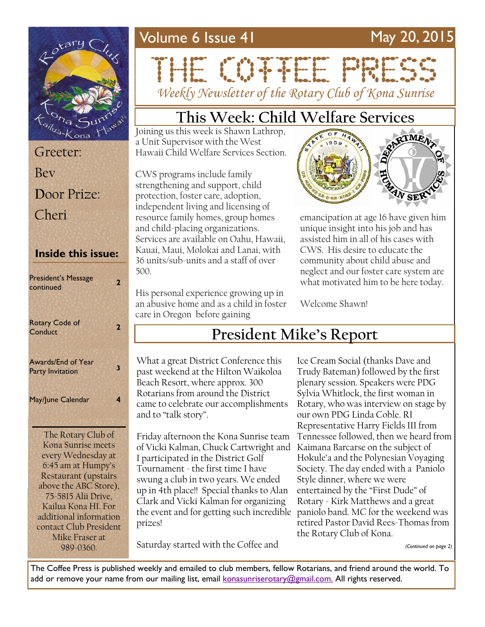## Volume 6 Issue 41 May 20, 2015



## Greeter: Bev **D**oor Prize: Cheri

#### **Inside this issue:**

| <b>President's Message</b><br>continued       | 2 |
|-----------------------------------------------|---|
| <b>Rotary Code of</b><br>Conduct              | 2 |
| Awards/End of Year<br><b>Party Invitation</b> | 3 |
| May/June Calendar                             | 4 |
| The Rotary Club of                            |   |
| Kona Sunrise meets                            |   |
| every Wednesday at                            |   |
| 6:45 am at Humpy's                            |   |

Restaurant (upstairs above the ABC Store), 75-5815 Alii Drive, Kailua Kona HI. For additional information contact Club President Mike Fraser at 989-0360.

# 

*Weekly Newsletter of the Rotary Club of Kona Sunrise*

## **This Week: Child Welfare Services**

Joining us this week is Shawn Lathrop, a Unit Supervisor with the West Hawaii Child Welfare Services Section.

CWS programs include family strengthening and support, child protection, foster care, adoption, independent living and licensing of resource family homes, group homes and child-placing organizations. Services are available on Oahu, Hawaii, Kauai, Maui, Molokai and Lanai, with 36 units/sub-units and a staff of over 500.

His personal experience growing up in an abusive home and as a child in foster care in Oregon before gaining



emancipation at age 16 have given him unique insight into his job and has assisted him in all of his cases with CWS. His desire to educate the community about child abuse and neglect and our foster care system are what motivated him to be here today.

Welcome Shawn!

## **President Mike's Report**

What a great District Conference this past weekend at the Hilton Waikoloa Beach Resort, where approx. 300 Rotarians from around the District came to celebrate our accomplishments and to "talk story".

Friday afternoon the Kona Sunrise team of Vicki Kalman, Chuck Cartwright and I participated in the District Golf Tournament - the first time I have swung a club in two years. We ended up in 4th place!! Special thanks to Alan Clark and Vicki Kalman for organizing the event and for getting such incredible paniolo band. MC for the weekend was prizes!

Saturday started with the Coffee and

Ice Cream Social (thanks Dave and Trudy Bateman) followed by the first plenary session. Speakers were PDG Sylvia Whitlock, the first woman in Rotary, who was interview on stage by our own PDG Linda Coble. RI Representative Harry Fields III from Tennessee followed, then we heard from Kaimana Barcarse on the subject of Hokule'a and the Polynesian Voyaging Society. The day ended with a Paniolo Style dinner, where we were entertained by the "First Dude" of Rotary - Kirk Matthews and a great retired Pastor David Rees-Thomas from the Rotary Club of Kona.

*(Continued on page 2)*

The Coffee Press is published weekly and emailed to club members, fellow Rotarians, and friend around the world. To add or remove your name from our mailing list, email [konasunriserotary@gmail.com.](mailto:konasunriserotary@gmail.com.) All rights reserved.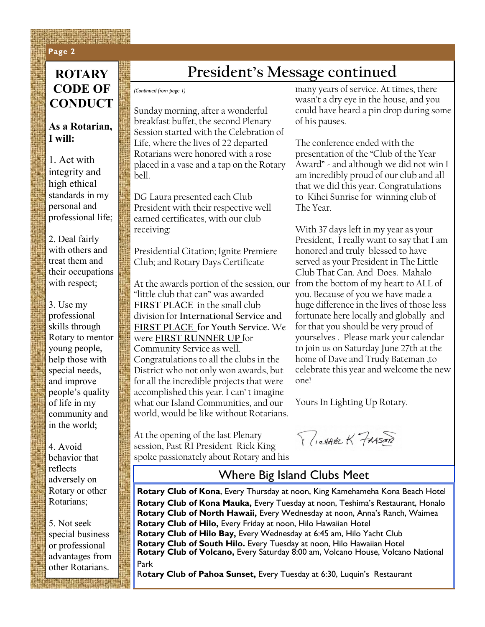#### **Page 2 Page 2**

### **ROTARY CODE OF CONDUCT**

#### **As a Rotarian, I will:**

1. Act with integrity and high ethical standards in my personal and professional life;

2. Deal fairly with others and treat them and their occupations with respect;

3. Use my professional skills through Rotary to mentor young people, help those with special needs, and improve people's quality of life in my community and in the world;

4. Avoid behavior that reflects adversely on Rotary or other Rotarians;

5. Not seek special business or professional advantages from other Rotarians.

## **President's Message continued**

*(Continued from page 1)*

Sunday morning, after a wonderful breakfast buffet, the second Plenary Session started with the Celebration of Life, where the lives of 22 departed Rotarians were honored with a rose placed in a vase and a tap on the Rotary bell.

DG Laura presented each Club President with their respective well earned certificates, with our club receiving:

Presidential Citation; Ignite Premiere Club; and Rotary Days Certificate

At the awards portion of the session, our from the bottom of my heart to ALL of "little club that can" was awarded **FIRST PLACE** in the small club division for **International Service and FIRST PLACE for Youth Service.** We were **FIRST RUNNER UP** for Community Service as well. Congratulations to all the clubs in the District who not only won awards, but for all the incredible projects that were accomplished this year. I can' t imagine what our Island Communities, and our world, would be like without Rotarians.

At the opening of the last Plenary session, Past RI President Rick King spoke passionately about Rotary and his many years of service. At times, there wasn't a dry eye in the house, and you could have heard a pin drop during some of his pauses.

The conference ended with the presentation of the "Club of the Year Award" - and although we did not win I am incredibly proud of our club and all that we did this year. Congratulations to Kihei Sunrise for winning club of The Year.

With 37 days left in my year as your President, I really want to say that I am honored and truly blessed to have served as your President in The Little Club That Can. And Does. Mahalo you. Because of you we have made a huge difference in the lives of those less fortunate here locally and globally and for that you should be very proud of yourselves . Please mark your calendar to join us on Saturday June 27th at the home of Dave and Trudy Bateman ,to celebrate this year and welcome the new one!

Yours In Lighting Up Rotary.

RICHAREK FRASER

#### Where Big Island Clubs Meet

**Rotary Club of Kona**, Every Thursday at noon, King Kamehameha Kona Beach Hotel **Rotary Club of Kona Mauka,** Every Tuesday at noon, Teshima's Restaurant, Honalo **Rotary Club of North Hawaii,** Every Wednesday at noon, Anna's Ranch, Waimea **Rotary Club of Hilo,** Every Friday at noon, Hilo Hawaiian Hotel **Rotary Club of Hilo Bay,** Every Wednesday at 6:45 am, Hilo Yacht Club **Rotary Club of South Hilo.** Every Tuesday at noon, Hilo Hawaiian Hotel **Rotary Club of Volcano,** Every Saturday 8:00 am, Volcano House, Volcano National Park

R**otary Club of Pahoa Sunset,** Every Tuesday at 6:30, Luquin's Restaurant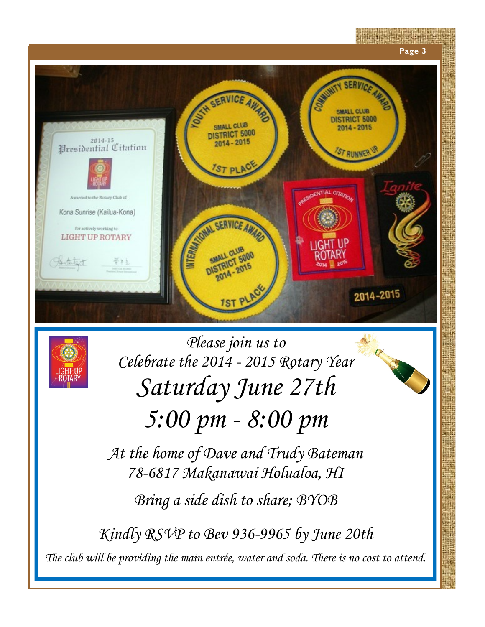



*Please join us to Celebrate the 2014 - 2015 Rotary Year Saturday June 27th 5:00 pm - 8:00 pm*

*At the home of Dave and Trudy Bateman 78-6817 Makanawai Holualoa, HI Bring a side dish to share; BYOB*

*Kindly RSVP to Bev 936-9965 by June 20th The club will be providing the main entrée, water and soda. There is no cost to attend.*